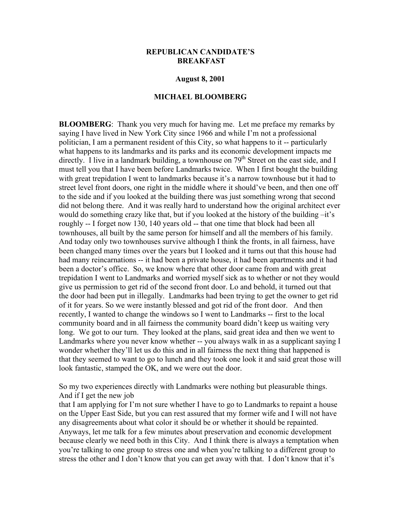# REPUBLICAN CANDIDATE'S **BREAKFAST**

## August 8, 2001

## MICHAEL BLOOMBERG

**BLOOMBERG:** Thank you very much for having me. Let me preface my remarks by saying I have lived in New York City since 1966 and while I'm not a professional politician, I am a permanent resident of this City, so what happens to it -- particularly what happens to its landmarks and its parks and its economic development impacts me directly. I live in a landmark building, a townhouse on  $79<sup>th</sup>$  Street on the east side, and I must tell you that I have been before Landmarks twice. When I first bought the building with great trepidation I went to landmarks because it's a narrow townhouse but it had to street level front doors, one right in the middle where it should've been, and then one off to the side and if you looked at the building there was just something wrong that second did not belong there. And it was really hard to understand how the original architect ever would do something crazy like that, but if you looked at the history of the building –it's roughly -- I forget now 130, 140 years old -- that one time that block had been all townhouses, all built by the same person for himself and all the members of his family. And today only two townhouses survive although I think the fronts, in all fairness, have been changed many times over the years but I looked and it turns out that this house had had many reincarnations -- it had been a private house, it had been apartments and it had been a doctor's office. So, we know where that other door came from and with great trepidation I went to Landmarks and worried myself sick as to whether or not they would give us permission to get rid of the second front door. Lo and behold, it turned out that the door had been put in illegally. Landmarks had been trying to get the owner to get rid of it for years. So we were instantly blessed and got rid of the front door. And then recently, I wanted to change the windows so I went to Landmarks -- first to the local community board and in all fairness the community board didn't keep us waiting very long. We got to our turn. They looked at the plans, said great idea and then we went to Landmarks where you never know whether -- you always walk in as a supplicant saying I wonder whether they'll let us do this and in all fairness the next thing that happened is that they seemed to want to go to lunch and they took one look it and said great those will look fantastic, stamped the OK, and we were out the door.

So my two experiences directly with Landmarks were nothing but pleasurable things. And if I get the new job

that I am applying for I'm not sure whether I have to go to Landmarks to repaint a house on the Upper East Side, but you can rest assured that my former wife and I will not have any disagreements about what color it should be or whether it should be repainted. Anyways, let me talk for a few minutes about preservation and economic development because clearly we need both in this City. And I think there is always a temptation when you're talking to one group to stress one and when you're talking to a different group to stress the other and I don't know that you can get away with that. I don't know that it's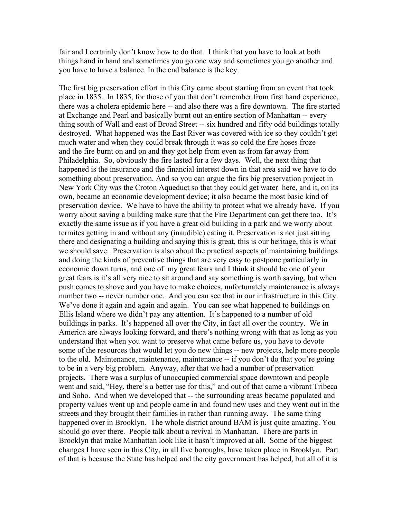fair and I certainly don't know how to do that. I think that you have to look at both things hand in hand and sometimes you go one way and sometimes you go another and you have to have a balance. In the end balance is the key.

The first big preservation effort in this City came about starting from an event that took place in 1835. In 1835, for those of you that don't remember from first hand experience, there was a cholera epidemic here -- and also there was a fire downtown. The fire started at Exchange and Pearl and basically burnt out an entire section of Manhattan -- every thing south of Wall and east of Broad Street -- six hundred and fifty odd buildings totally destroyed. What happened was the East River was covered with ice so they couldn't get much water and when they could break through it was so cold the fire hoses froze and the fire burnt on and on and they got help from even as from far away from Philadelphia. So, obviously the fire lasted for a few days. Well, the next thing that happened is the insurance and the financial interest down in that area said we have to do something about preservation. And so you can argue the firs big preservation project in New York City was the Croton Aqueduct so that they could get water here, and it, on its own, became an economic development device; it also became the most basic kind of preservation device. We have to have the ability to protect what we already have. If you worry about saving a building make sure that the Fire Department can get there too. It's exactly the same issue as if you have a great old building in a park and we worry about termites getting in and without any (inaudible) eating it. Preservation is not just sitting there and designating a building and saying this is great, this is our heritage, this is what we should save. Preservation is also about the practical aspects of maintaining buildings and doing the kinds of preventive things that are very easy to postpone particularly in economic down turns, and one of my great fears and I think it should be one of your great fears is it's all very nice to sit around and say something is worth saving, but when push comes to shove and you have to make choices, unfortunately maintenance is always number two -- never number one. And you can see that in our infrastructure in this City. We've done it again and again and again. You can see what happened to buildings on Ellis Island where we didn't pay any attention. It's happened to a number of old buildings in parks. It's happened all over the City, in fact all over the country. We in America are always looking forward, and there's nothing wrong with that as long as you understand that when you want to preserve what came before us, you have to devote some of the resources that would let you do new things -- new projects, help more people to the old. Maintenance, maintenance, maintenance -- if you don't do that you're going to be in a very big problem. Anyway, after that we had a number of preservation projects. There was a surplus of unoccupied commercial space downtown and people went and said, "Hey, there's a better use for this," and out of that came a vibrant Tribeca and Soho. And when we developed that -- the surrounding areas became populated and property values went up and people came in and found new uses and they went out in the streets and they brought their families in rather than running away. The same thing happened over in Brooklyn. The whole district around BAM is just quite amazing. You should go over there. People talk about a revival in Manhattan. There are parts in Brooklyn that make Manhattan look like it hasn't improved at all. Some of the biggest changes I have seen in this City, in all five boroughs, have taken place in Brooklyn. Part of that is because the State has helped and the city government has helped, but all of it is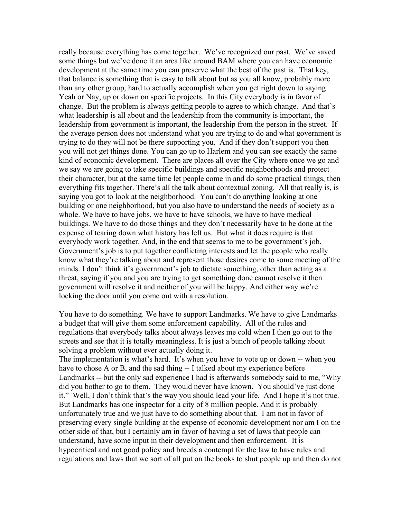really because everything has come together. We've recognized our past. We've saved some things but we've done it an area like around BAM where you can have economic development at the same time you can preserve what the best of the past is. That key, that balance is something that is easy to talk about but as you all know, probably more than any other group, hard to actually accomplish when you get right down to saying Yeah or Nay, up or down on specific projects. In this City everybody is in favor of change. But the problem is always getting people to agree to which change. And that's what leadership is all about and the leadership from the community is important, the leadership from government is important, the leadership from the person in the street. If the average person does not understand what you are trying to do and what government is trying to do they will not be there supporting you. And if they don't support you then you will not get things done. You can go up to Harlem and you can see exactly the same kind of economic development. There are places all over the City where once we go and we say we are going to take specific buildings and specific neighborhoods and protect their character, but at the same time let people come in and do some practical things, then everything fits together. There's all the talk about contextual zoning. All that really is, is saying you got to look at the neighborhood. You can't do anything looking at one building or one neighborhood, but you also have to understand the needs of society as a whole. We have to have jobs, we have to have schools, we have to have medical buildings. We have to do those things and they don't necessarily have to be done at the expense of tearing down what history has left us. But what it does require is that everybody work together. And, in the end that seems to me to be government's job. Government's job is to put together conflicting interests and let the people who really know what they're talking about and represent those desires come to some meeting of the minds. I don't think it's government's job to dictate something, other than acting as a threat, saying if you and you are trying to get something done cannot resolve it then government will resolve it and neither of you will be happy. And either way we're locking the door until you come out with a resolution.

You have to do something. We have to support Landmarks. We have to give Landmarks a budget that will give them some enforcement capability. All of the rules and regulations that everybody talks about always leaves me cold when I then go out to the streets and see that it is totally meaningless. It is just a bunch of people talking about solving a problem without ever actually doing it.

The implementation is what's hard. It's when you have to vote up or down -- when you have to chose A or B, and the sad thing -- I talked about my experience before Landmarks -- but the only sad experience I had is afterwards somebody said to me, "Why did you bother to go to them. They would never have known. You should've just done it." Well, I don't think that's the way you should lead your life. And I hope it's not true. But Landmarks has one inspector for a city of 8 million people. And it is probably unfortunately true and we just have to do something about that. I am not in favor of preserving every single building at the expense of economic development nor am I on the other side of that, but I certainly am in favor of having a set of laws that people can understand, have some input in their development and then enforcement. It is hypocritical and not good policy and breeds a contempt for the law to have rules and regulations and laws that we sort of all put on the books to shut people up and then do not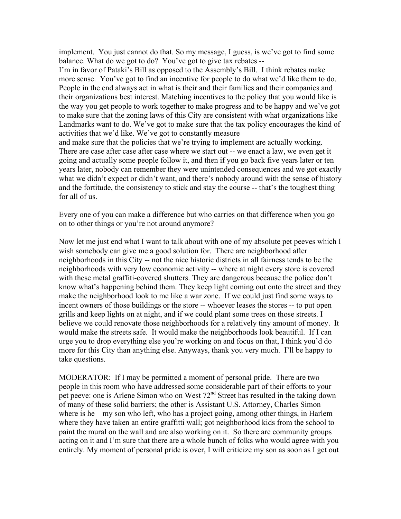implement. You just cannot do that. So my message, I guess, is we've got to find some balance. What do we got to do? You've got to give tax rebates --

I'm in favor of Pataki's Bill as opposed to the Assembly's Bill. I think rebates make more sense. You've got to find an incentive for people to do what we'd like them to do. People in the end always act in what is their and their families and their companies and their organizations best interest. Matching incentives to the policy that you would like is the way you get people to work together to make progress and to be happy and we've got to make sure that the zoning laws of this City are consistent with what organizations like Landmarks want to do. We've got to make sure that the tax policy encourages the kind of activities that we'd like. We've got to constantly measure

and make sure that the policies that we're trying to implement are actually working. There are case after case after case where we start out -- we enact a law, we even get it going and actually some people follow it, and then if you go back five years later or ten years later, nobody can remember they were unintended consequences and we got exactly what we didn't expect or didn't want, and there's nobody around with the sense of history and the fortitude, the consistency to stick and stay the course -- that's the toughest thing for all of us.

Every one of you can make a difference but who carries on that difference when you go on to other things or you're not around anymore?

Now let me just end what I want to talk about with one of my absolute pet peeves which I wish somebody can give me a good solution for. There are neighborhood after neighborhoods in this City -- not the nice historic districts in all fairness tends to be the neighborhoods with very low economic activity -- where at night every store is covered with these metal graffiti-covered shutters. They are dangerous because the police don't know what's happening behind them. They keep light coming out onto the street and they make the neighborhood look to me like a war zone. If we could just find some ways to incent owners of those buildings or the store -- whoever leases the stores -- to put open grills and keep lights on at night, and if we could plant some trees on those streets. I believe we could renovate those neighborhoods for a relatively tiny amount of money. It would make the streets safe. It would make the neighborhoods look beautiful. If I can urge you to drop everything else you're working on and focus on that, I think you'd do more for this City than anything else. Anyways, thank you very much. I'll be happy to take questions.

MODERATOR: If I may be permitted a moment of personal pride. There are two people in this room who have addressed some considerable part of their efforts to your pet peeve: one is Arlene Simon who on West  $72<sup>nd</sup>$  Street has resulted in the taking down of many of these solid barriers; the other is Assistant U.S. Attorney, Charles Simon – where is he – my son who left, who has a project going, among other things, in Harlem where they have taken an entire graffitti wall; got neighborhood kids from the school to paint the mural on the wall and are also working on it. So there are community groups acting on it and I'm sure that there are a whole bunch of folks who would agree with you entirely. My moment of personal pride is over, I will criticize my son as soon as I get out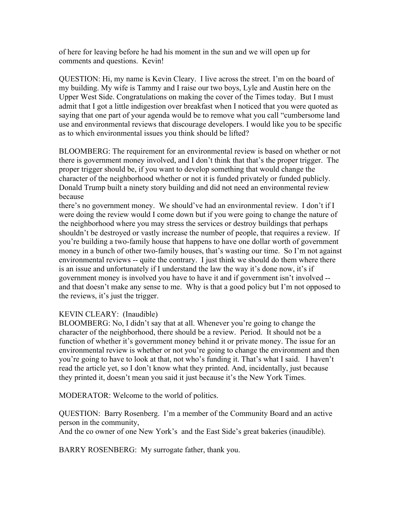of here for leaving before he had his moment in the sun and we will open up for comments and questions. Kevin!

QUESTION: Hi, my name is Kevin Cleary. I live across the street. I'm on the board of my building. My wife is Tammy and I raise our two boys, Lyle and Austin here on the Upper West Side. Congratulations on making the cover of the Times today. But I must admit that I got a little indigestion over breakfast when I noticed that you were quoted as saying that one part of your agenda would be to remove what you call "cumbersome land use and environmental reviews that discourage developers. I would like you to be specific as to which environmental issues you think should be lifted?

BLOOMBERG: The requirement for an environmental review is based on whether or not there is government money involved, and I don't think that that's the proper trigger. The proper trigger should be, if you want to develop something that would change the character of the neighborhood whether or not it is funded privately or funded publicly. Donald Trump built a ninety story building and did not need an environmental review because

there's no government money. We should've had an environmental review. I don't if I were doing the review would I come down but if you were going to change the nature of the neighborhood where you may stress the services or destroy buildings that perhaps shouldn't be destroyed or vastly increase the number of people, that requires a review. If you're building a two-family house that happens to have one dollar worth of government money in a bunch of other two-family houses, that's wasting our time. So I'm not against environmental reviews -- quite the contrary. I just think we should do them where there is an issue and unfortunately if I understand the law the way it's done now, it's if government money is involved you have to have it and if government isn't involved - and that doesn't make any sense to me. Why is that a good policy but I'm not opposed to the reviews, it's just the trigger.

# KEVIN CLEARY: (Inaudible)

BLOOMBERG: No, I didn't say that at all. Whenever you're going to change the character of the neighborhood, there should be a review. Period. It should not be a function of whether it's government money behind it or private money. The issue for an environmental review is whether or not you're going to change the environment and then you're going to have to look at that, not who's funding it. That's what I said. I haven't read the article yet, so I don't know what they printed. And, incidentally, just because they printed it, doesn't mean you said it just because it's the New York Times.

MODERATOR: Welcome to the world of politics.

QUESTION: Barry Rosenberg. I'm a member of the Community Board and an active person in the community,

And the co owner of one New York's and the East Side's great bakeries (inaudible).

BARRY ROSENBERG: My surrogate father, thank you.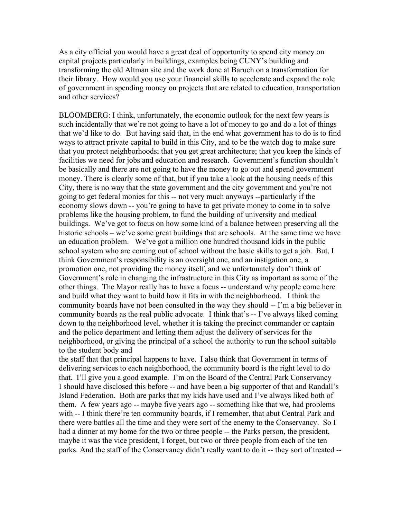As a city official you would have a great deal of opportunity to spend city money on capital projects particularly in buildings, examples being CUNY's building and transforming the old Altman site and the work done at Baruch on a transformation for their library. How would you use your financial skills to accelerate and expand the role of government in spending money on projects that are related to education, transportation and other services?

BLOOMBERG: I think, unfortunately, the economic outlook for the next few years is such incidentally that we're not going to have a lot of money to go and do a lot of things that we'd like to do. But having said that, in the end what government has to do is to find ways to attract private capital to build in this City, and to be the watch dog to make sure that you protect neighborhoods; that you get great architecture; that you keep the kinds of facilities we need for jobs and education and research. Government's function shouldn't be basically and there are not going to have the money to go out and spend government money. There is clearly some of that, but if you take a look at the housing needs of this City, there is no way that the state government and the city government and you're not going to get federal monies for this -- not very much anyways --particularly if the economy slows down -- you're going to have to get private money to come in to solve problems like the housing problem, to fund the building of university and medical buildings. We've got to focus on how some kind of a balance between preserving all the historic schools – we've some great buildings that are schools. At the same time we have an education problem. We've got a million one hundred thousand kids in the public school system who are coming out of school without the basic skills to get a job. But, I think Government's responsibility is an oversight one, and an instigation one, a promotion one, not providing the money itself, and we unfortunately don't think of Government's role in changing the infrastructure in this City as important as some of the other things. The Mayor really has to have a focus -- understand why people come here and build what they want to build how it fits in with the neighborhood. I think the community boards have not been consulted in the way they should -- I'm a big believer in community boards as the real public advocate. I think that's -- I've always liked coming down to the neighborhood level, whether it is taking the precinct commander or captain and the police department and letting them adjust the delivery of services for the neighborhood, or giving the principal of a school the authority to run the school suitable to the student body and

the staff that that principal happens to have. I also think that Government in terms of delivering services to each neighborhood, the community board is the right level to do that. I'll give you a good example. I'm on the Board of the Central Park Conservancy – I should have disclosed this before -- and have been a big supporter of that and Randall's Island Federation. Both are parks that my kids have used and I've always liked both of them. A few years ago -- maybe five years ago -- something like that we, had problems with -- I think there're ten community boards, if I remember, that abut Central Park and there were battles all the time and they were sort of the enemy to the Conservancy. So I had a dinner at my home for the two or three people -- the Parks person, the president, maybe it was the vice president, I forget, but two or three people from each of the ten parks. And the staff of the Conservancy didn't really want to do it -- they sort of treated --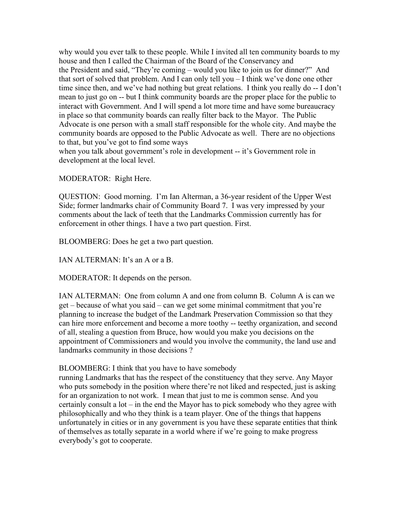why would you ever talk to these people. While I invited all ten community boards to my house and then I called the Chairman of the Board of the Conservancy and the President and said, "They're coming – would you like to join us for dinner?" And that sort of solved that problem. And I can only tell you – I think we've done one other time since then, and we've had nothing but great relations. I think you really do -- I don't mean to just go on -- but I think community boards are the proper place for the public to interact with Government. And I will spend a lot more time and have some bureaucracy in place so that community boards can really filter back to the Mayor. The Public Advocate is one person with a small staff responsible for the whole city. And maybe the community boards are opposed to the Public Advocate as well. There are no objections to that, but you've got to find some ways

when you talk about government's role in development -- it's Government role in development at the local level.

MODERATOR: Right Here.

QUESTION: Good morning. I'm Ian Alterman, a 36-year resident of the Upper West Side; former landmarks chair of Community Board 7. I was very impressed by your comments about the lack of teeth that the Landmarks Commission currently has for enforcement in other things. I have a two part question. First.

BLOOMBERG: Does he get a two part question.

IAN ALTERMAN: It's an A or a B.

MODERATOR: It depends on the person.

IAN ALTERMAN: One from column A and one from column B. Column A is can we get – because of what you said – can we get some minimal commitment that you're planning to increase the budget of the Landmark Preservation Commission so that they can hire more enforcement and become a more toothy -- teethy organization, and second of all, stealing a question from Bruce, how would you make you decisions on the appointment of Commissioners and would you involve the community, the land use and landmarks community in those decisions ?

### BLOOMBERG: I think that you have to have somebody

running Landmarks that has the respect of the constituency that they serve. Any Mayor who puts somebody in the position where there're not liked and respected, just is asking for an organization to not work. I mean that just to me is common sense. And you certainly consult a lot – in the end the Mayor has to pick somebody who they agree with philosophically and who they think is a team player. One of the things that happens unfortunately in cities or in any government is you have these separate entities that think of themselves as totally separate in a world where if we're going to make progress everybody's got to cooperate.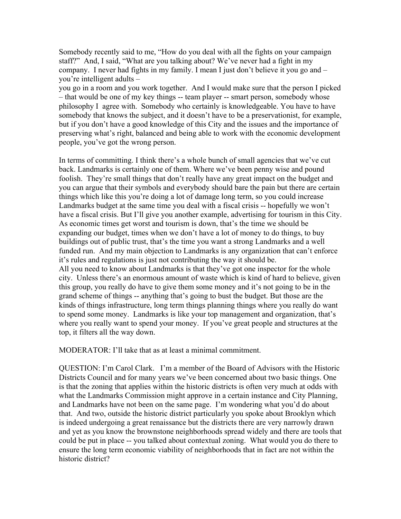Somebody recently said to me, "How do you deal with all the fights on your campaign staff?" And, I said, "What are you talking about? We've never had a fight in my company. I never had fights in my family. I mean I just don't believe it you go and – you're intelligent adults –

you go in a room and you work together. And I would make sure that the person I picked – that would be one of my key things -- team player -- smart person, somebody whose philosophy I agree with. Somebody who certainly is knowledgeable. You have to have somebody that knows the subject, and it doesn't have to be a preservationist, for example, but if you don't have a good knowledge of this City and the issues and the importance of preserving what's right, balanced and being able to work with the economic development people, you've got the wrong person.

In terms of committing. I think there's a whole bunch of small agencies that we've cut back. Landmarks is certainly one of them. Where we've been penny wise and pound foolish. They're small things that don't really have any great impact on the budget and you can argue that their symbols and everybody should bare the pain but there are certain things which like this you're doing a lot of damage long term, so you could increase Landmarks budget at the same time you deal with a fiscal crisis -- hopefully we won't have a fiscal crisis. But I'll give you another example, advertising for tourism in this City. As economic times get worst and tourism is down, that's the time we should be expanding our budget, times when we don't have a lot of money to do things, to buy buildings out of public trust, that's the time you want a strong Landmarks and a well funded run. And my main objection to Landmarks is any organization that can't enforce it's rules and regulations is just not contributing the way it should be. All you need to know about Landmarks is that they've got one inspector for the whole city. Unless there's an enormous amount of waste which is kind of hard to believe, given this group, you really do have to give them some money and it's not going to be in the grand scheme of things -- anything that's going to bust the budget. But those are the kinds of things infrastructure, long term things planning things where you really do want to spend some money. Landmarks is like your top management and organization, that's where you really want to spend your money. If you've great people and structures at the top, it filters all the way down.

MODERATOR: I'll take that as at least a minimal commitment.

QUESTION: I'm Carol Clark. I'm a member of the Board of Advisors with the Historic Districts Council and for many years we've been concerned about two basic things. One is that the zoning that applies within the historic districts is often very much at odds with what the Landmarks Commission might approve in a certain instance and City Planning, and Landmarks have not been on the same page. I'm wondering what you'd do about that. And two, outside the historic district particularly you spoke about Brooklyn which is indeed undergoing a great renaissance but the districts there are very narrowly drawn and yet as you know the brownstone neighborhoods spread widely and there are tools that could be put in place -- you talked about contextual zoning. What would you do there to ensure the long term economic viability of neighborhoods that in fact are not within the historic district?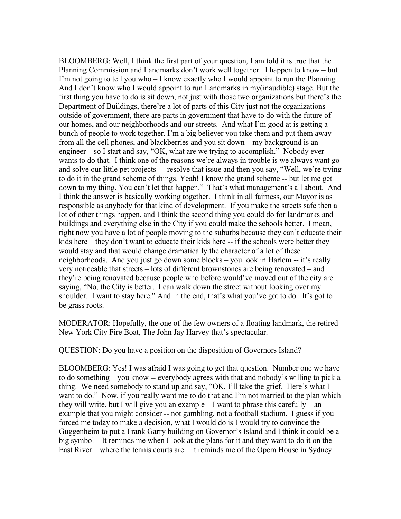BLOOMBERG: Well, I think the first part of your question, I am told it is true that the Planning Commission and Landmarks don't work well together. I happen to know – but I'm not going to tell you who  $-1$  know exactly who I would appoint to run the Planning. And I don't know who I would appoint to run Landmarks in my(inaudible) stage. But the first thing you have to do is sit down, not just with those two organizations but there's the Department of Buildings, there're a lot of parts of this City just not the organizations outside of government, there are parts in government that have to do with the future of our homes, and our neighborhoods and our streets. And what I'm good at is getting a bunch of people to work together. I'm a big believer you take them and put them away from all the cell phones, and blackberries and you sit down – my background is an engineer – so I start and say, "OK, what are we trying to accomplish." Nobody ever wants to do that. I think one of the reasons we're always in trouble is we always want go and solve our little pet projects -- resolve that issue and then you say, "Well, we're trying to do it in the grand scheme of things. Yeah! I know the grand scheme -- but let me get down to my thing. You can't let that happen." That's what management's all about. And I think the answer is basically working together. I think in all fairness, our Mayor is as responsible as anybody for that kind of development. If you make the streets safe then a lot of other things happen, and I think the second thing you could do for landmarks and buildings and everything else in the City if you could make the schools better. I mean, right now you have a lot of people moving to the suburbs because they can't educate their kids here – they don't want to educate their kids here -- if the schools were better they would stay and that would change dramatically the character of a lot of these neighborhoods. And you just go down some blocks – you look in Harlem -- it's really very noticeable that streets – lots of different brownstones are being renovated – and they're being renovated because people who before would've moved out of the city are saying, "No, the City is better. I can walk down the street without looking over my shoulder. I want to stay here." And in the end, that's what you've got to do. It's got to be grass roots.

MODERATOR: Hopefully, the one of the few owners of a floating landmark, the retired New York City Fire Boat, The John Jay Harvey that's spectacular.

QUESTION: Do you have a position on the disposition of Governors Island?

BLOOMBERG: Yes! I was afraid I was going to get that question. Number one we have to do something – you know -- everybody agrees with that and nobody's willing to pick a thing. We need somebody to stand up and say, "OK, I'll take the grief. Here's what I want to do." Now, if you really want me to do that and I'm not married to the plan which they will write, but I will give you an example – I want to phrase this carefully – an example that you might consider -- not gambling, not a football stadium. I guess if you forced me today to make a decision, what I would do is I would try to convince the Guggenheim to put a Frank Garry building on Governor's Island and I think it could be a big symbol – It reminds me when I look at the plans for it and they want to do it on the East River – where the tennis courts are – it reminds me of the Opera House in Sydney.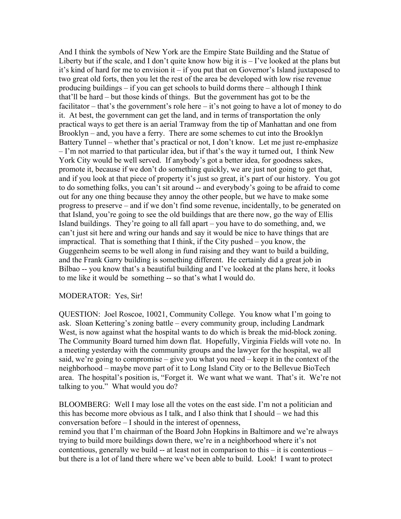And I think the symbols of New York are the Empire State Building and the Statue of Liberty but if the scale, and I don't quite know how big it is  $-1$ 've looked at the plans but it's kind of hard for me to envision it – if you put that on Governor's Island juxtaposed to two great old forts, then you let the rest of the area be developed with low rise revenue producing buildings – if you can get schools to build dorms there – although I think that'll be hard – but those kinds of things. But the government has got to be the facilitator – that's the government's role here – it's not going to have a lot of money to do it. At best, the government can get the land, and in terms of transportation the only practical ways to get there is an aerial Tramway from the tip of Manhattan and one from Brooklyn – and, you have a ferry. There are some schemes to cut into the Brooklyn Battery Tunnel – whether that's practical or not, I don't know. Let me just re-emphasize – I'm not married to that particular idea, but if that's the way it turned out, I think New York City would be well served. If anybody's got a better idea, for goodness sakes, promote it, because if we don't do something quickly, we are just not going to get that, and if you look at that piece of property it's just so great, it's part of our history. You got to do something folks, you can't sit around -- and everybody's going to be afraid to come out for any one thing because they annoy the other people, but we have to make some progress to preserve – and if we don't find some revenue, incidentally, to be generated on that Island, you're going to see the old buildings that are there now, go the way of Ellis Island buildings. They're going to all fall apart – you have to do something, and, we can't just sit here and wring our hands and say it would be nice to have things that are impractical. That is something that I think, if the City pushed – you know, the Guggenheim seems to be well along in fund raising and they want to build a building, and the Frank Garry building is something different. He certainly did a great job in Bilbao -- you know that's a beautiful building and I've looked at the plans here, it looks to me like it would be something -- so that's what I would do.

### MODERATOR: Yes, Sir!

QUESTION: Joel Roscoe, 10021, Community College. You know what I'm going to ask. Sloan Kettering's zoning battle – every community group, including Landmark West, is now against what the hospital wants to do which is break the mid-block zoning. The Community Board turned him down flat. Hopefully, Virginia Fields will vote no. In a meeting yesterday with the community groups and the lawyer for the hospital, we all said, we're going to compromise – give you what you need – keep it in the context of the neighborhood – maybe move part of it to Long Island City or to the Bellevue BioTech area. The hospital's position is, "Forget it. We want what we want. That's it. We're not talking to you." What would you do?

BLOOMBERG: Well I may lose all the votes on the east side. I'm not a politician and this has become more obvious as I talk, and I also think that I should – we had this conversation before – I should in the interest of openness,

remind you that I'm chairman of the Board John Hopkins in Baltimore and we're always trying to build more buildings down there, we're in a neighborhood where it's not contentious, generally we build -- at least not in comparison to this – it is contentious – but there is a lot of land there where we've been able to build. Look! I want to protect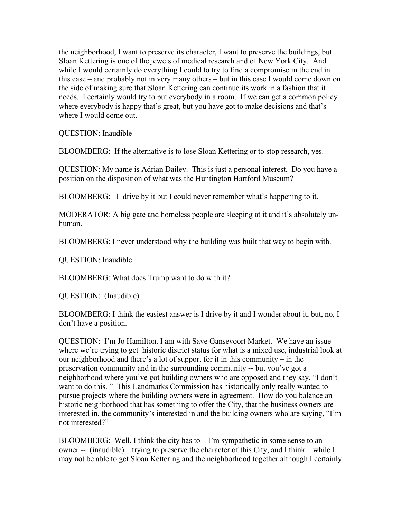the neighborhood, I want to preserve its character, I want to preserve the buildings, but Sloan Kettering is one of the jewels of medical research and of New York City. And while I would certainly do everything I could to try to find a compromise in the end in this case – and probably not in very many others – but in this case I would come down on the side of making sure that Sloan Kettering can continue its work in a fashion that it needs. I certainly would try to put everybody in a room. If we can get a common policy where everybody is happy that's great, but you have got to make decisions and that's where I would come out.

QUESTION: Inaudible

BLOOMBERG: If the alternative is to lose Sloan Kettering or to stop research, yes.

QUESTION: My name is Adrian Dailey. This is just a personal interest. Do you have a position on the disposition of what was the Huntington Hartford Museum?

BLOOMBERG: I drive by it but I could never remember what's happening to it.

MODERATOR: A big gate and homeless people are sleeping at it and it's absolutely unhuman.

BLOOMBERG: I never understood why the building was built that way to begin with.

QUESTION: Inaudible

BLOOMBERG: What does Trump want to do with it?

QUESTION: (Inaudible)

BLOOMBERG: I think the easiest answer is I drive by it and I wonder about it, but, no, I don't have a position.

QUESTION: I'm Jo Hamilton. I am with Save Gansevoort Market. We have an issue where we're trying to get historic district status for what is a mixed use, industrial look at our neighborhood and there's a lot of support for it in this community – in the preservation community and in the surrounding community -- but you've got a neighborhood where you've got building owners who are opposed and they say, "I don't want to do this. " This Landmarks Commission has historically only really wanted to pursue projects where the building owners were in agreement. How do you balance an historic neighborhood that has something to offer the City, that the business owners are interested in, the community's interested in and the building owners who are saying, "I'm not interested?"

BLOOMBERG: Well, I think the city has to  $-I$ 'm sympathetic in some sense to an owner -- (inaudible) – trying to preserve the character of this City, and I think – while I may not be able to get Sloan Kettering and the neighborhood together although I certainly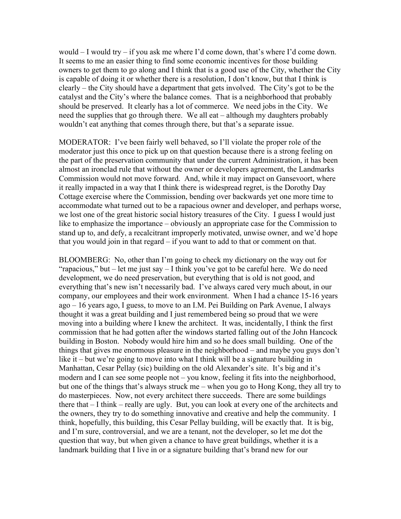would – I would try – if you ask me where I'd come down, that's where I'd come down. It seems to me an easier thing to find some economic incentives for those building owners to get them to go along and I think that is a good use of the City, whether the City is capable of doing it or whether there is a resolution, I don't know, but that I think is clearly – the City should have a department that gets involved. The City's got to be the catalyst and the City's where the balance comes. That is a neighborhood that probably should be preserved. It clearly has a lot of commerce. We need jobs in the City. We need the supplies that go through there. We all eat – although my daughters probably wouldn't eat anything that comes through there, but that's a separate issue.

MODERATOR: I've been fairly well behaved, so I'll violate the proper role of the moderator just this once to pick up on that question because there is a strong feeling on the part of the preservation community that under the current Administration, it has been almost an ironclad rule that without the owner or developers agreement, the Landmarks Commission would not move forward. And, while it may impact on Gansevoort, where it really impacted in a way that I think there is widespread regret, is the Dorothy Day Cottage exercise where the Commission, bending over backwards yet one more time to accommodate what turned out to be a rapacious owner and developer, and perhaps worse, we lost one of the great historic social history treasures of the City. I guess I would just like to emphasize the importance – obviously an appropriate case for the Commission to stand up to, and defy, a recalcitrant improperly motivated, unwise owner, and we'd hope that you would join in that regard – if you want to add to that or comment on that.

BLOOMBERG: No, other than I'm going to check my dictionary on the way out for "rapacious," but – let me just say – I think you've got to be careful here. We do need development, we do need preservation, but everything that is old is not good, and everything that's new isn't necessarily bad. I've always cared very much about, in our company, our employees and their work environment. When I had a chance 15-16 years ago – 16 years ago, I guess, to move to an I.M. Pei Building on Park Avenue, I always thought it was a great building and I just remembered being so proud that we were moving into a building where I knew the architect. It was, incidentally, I think the first commission that he had gotten after the windows started falling out of the John Hancock building in Boston. Nobody would hire him and so he does small building. One of the things that gives me enormous pleasure in the neighborhood – and maybe you guys don't like it – but we're going to move into what I think will be a signature building in Manhattan, Cesar Pellay (sic) building on the old Alexander's site. It's big and it's modern and I can see some people not – you know, feeling it fits into the neighborhood, but one of the things that's always struck me – when you go to Hong Kong, they all try to do masterpieces. Now, not every architect there succeeds. There are some buildings there that – I think – really are ugly. But, you can look at every one of the architects and the owners, they try to do something innovative and creative and help the community. I think, hopefully, this building, this Cesar Pellay building, will be exactly that. It is big, and I'm sure, controversial, and we are a tenant, not the developer, so let me dot the question that way, but when given a chance to have great buildings, whether it is a landmark building that I live in or a signature building that's brand new for our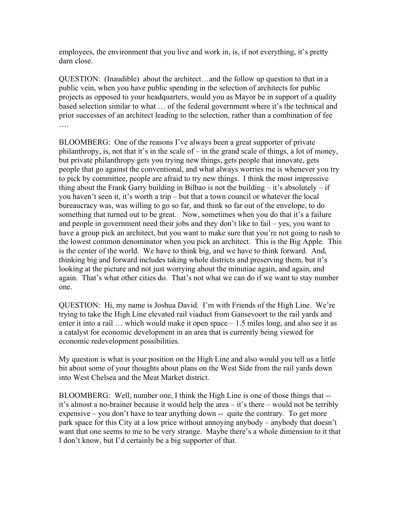employees, the environment that you live and work in, is, if not everything, it's pretty darn close.

QUESTION: (Inaudible) about the architect…and the follow up question to that in a public vein, when you have public spending in the selection of architects for public projects as opposed to your headquarters, would you as Mayor be in support of a quality based selection similar to what … of the federal government where it's the technical and prior successes of an architect leading to the selection, rather than a combination of fee ….

BLOOMBERG: One of the reasons I've always been a great supporter of private philanthropy, is, not that it's in the scale of – in the grand scale of things, a lot of money, but private philanthropy gets you trying new things, gets people that innovate, gets people that go against the conventional, and what always worries me is whenever you try to pick by committee, people are afraid to try new things. I think the most impressive thing about the Frank Garry building in Bilbao is not the building  $-$  it's absolutely  $-$  if you haven't seen it, it's worth a trip – but that a town council or whatever the local bureaucracy was, was willing to go so far, and think so far out of the envelope, to do something that turned out to be great. Now, sometimes when you do that it's a failure and people in government need their jobs and they don't like to fail – yes, you want to have a group pick an architect, but you want to make sure that you're not going to rush to the lowest common denominator when you pick an architect. This is the Big Apple. This is the center of the world. We have to think big, and we have to think forward. And, thinking big and forward includes taking whole districts and preserving them, but it's looking at the picture and not just worrying about the minutiae again, and again, and again. That's what other cities do. That's not what we can do if we want to stay number one.

QUESTION: Hi, my name is Joshua David. I'm with Friends of the High Line. We're trying to take the High Line elevated rail viaduct from Gansevoort to the rail yards and enter it into a rail … which would make it open space – 1.5 miles long, and also see it as a catalyst for economic development in an area that is currently being viewed for economic redevelopment possibilities.

My question is what is your position on the High Line and also would you tell us a little bit about some of your thoughts about plans on the West Side from the rail yards down into West Chelsea and the Meat Market district.

BLOOMBERG: Well, number one, I think the High Line is one of those things that - it's almost a no-brainer because it would help the area – it's there – would not be terribly expensive – you don't have to tear anything down -- quite the contrary. To get more park space for this City at a low price without annoying anybody – anybody that doesn't want that one seems to me to be very strange. Maybe there's a whole dimension to it that I don't know, but I'd certainly be a big supporter of that.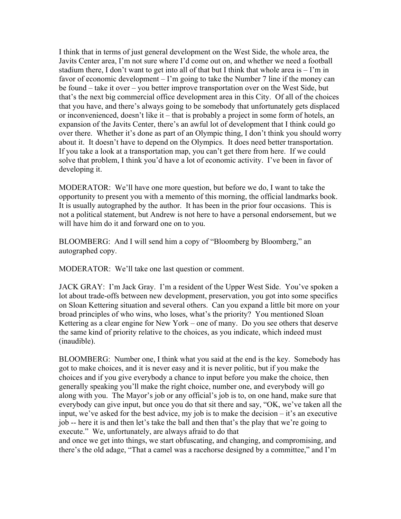I think that in terms of just general development on the West Side, the whole area, the Javits Center area, I'm not sure where I'd come out on, and whether we need a football stadium there, I don't want to get into all of that but I think that whole area is  $-1$ 'm in favor of economic development – I'm going to take the Number 7 line if the money can be found – take it over – you better improve transportation over on the West Side, but that's the next big commercial office development area in this City. Of all of the choices that you have, and there's always going to be somebody that unfortunately gets displaced or inconvenienced, doesn't like it – that is probably a project in some form of hotels, an expansion of the Javits Center, there's an awful lot of development that I think could go over there. Whether it's done as part of an Olympic thing, I don't think you should worry about it. It doesn't have to depend on the Olympics. It does need better transportation. If you take a look at a transportation map, you can't get there from here. If we could solve that problem, I think you'd have a lot of economic activity. I've been in favor of developing it.

MODERATOR: We'll have one more question, but before we do, I want to take the opportunity to present you with a memento of this morning, the official landmarks book. It is usually autographed by the author. It has been in the prior four occasions. This is not a political statement, but Andrew is not here to have a personal endorsement, but we will have him do it and forward one on to you.

BLOOMBERG: And I will send him a copy of "Bloomberg by Bloomberg," an autographed copy.

MODERATOR: We'll take one last question or comment.

JACK GRAY: I'm Jack Gray. I'm a resident of the Upper West Side. You've spoken a lot about trade-offs between new development, preservation, you got into some specifics on Sloan Kettering situation and several others. Can you expand a little bit more on your broad principles of who wins, who loses, what's the priority? You mentioned Sloan Kettering as a clear engine for New York – one of many. Do you see others that deserve the same kind of priority relative to the choices, as you indicate, which indeed must (inaudible).

BLOOMBERG: Number one, I think what you said at the end is the key. Somebody has got to make choices, and it is never easy and it is never politic, but if you make the choices and if you give everybody a chance to input before you make the choice, then generally speaking you'll make the right choice, number one, and everybody will go along with you. The Mayor's job or any official's job is to, on one hand, make sure that everybody can give input, but once you do that sit there and say, "OK, we've taken all the input, we've asked for the best advice, my job is to make the decision – it's an executive job -- here it is and then let's take the ball and then that's the play that we're going to execute." We, unfortunately, are always afraid to do that

and once we get into things, we start obfuscating, and changing, and compromising, and there's the old adage, "That a camel was a racehorse designed by a committee," and I'm